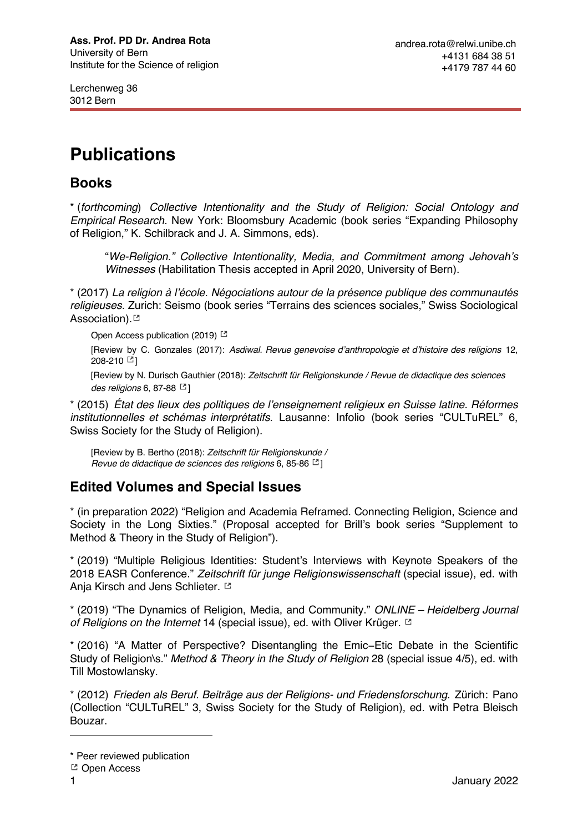Lerchenweg 36 3012 Bern

# **Publications**

## **Books**

\* (*forthcoming*) *Collective Intentionality and the Study of Religion: Social Ontology and Empirical Research.* New York: Bloomsbury Academic (book series "Expanding Philosophy of Religion," K. Schilbrack and J. A. Simmons, eds).

"*We-Religion." Collective Intentionality, Media, and Commitment among Jehovah's Witnesses* (Habilitation Thesis accepted in April 2020, University of Bern).

\* (2017) *La religion à l'école. Négociations autour de la présence publique des communautés religieuses*. Zurich: Seismo (book series "Terrains des sciences sociales," Swiss Sociological Association).

Open Access publication (2019)<sup>[2]</sup>

[Review by C. Gonzales (2017): *Asdiwal. Revue genevoise d'anthropologie et d'histoire des religions* 12, 208-210 [3]

[Review by N. Durisch Gauthier (2018): *Zeitschrift für Religionskunde / Revue de didactique des sciences des religions* 6, 87-88  $[$ 

\* (2015) *État des lieux des politiques de l'enseignement religieux en Suisse latine. Réformes institutionnelles et schémas interprétatifs*. Lausanne: Infolio (book series "CULTuREL" 6, Swiss Society for the Study of Religion).

[Review by B. Bertho (2018): *Zeitschrift für Religionskunde / Revue de didactique de sciences des religions* 6, 85-86 ]

## **Edited Volumes and Special Issues**

\* (in preparation 2022) "Religion and Academia Reframed. Connecting Religion, Science and Society in the Long Sixties." (Proposal accepted for Brill's book series "Supplement to Method & Theory in the Study of Religion").

\* (2019) "Multiple Religious Identities: Student's Interviews with Keynote Speakers of the 2018 EASR Conference." *Zeitschrift für junge Religionswissenschaft* (special issue), ed. with Anja Kirsch and Jens Schlieter.  $\square$ 

\* (2019) "The Dynamics of Religion, Media, and Community." *ONLINE – Heidelberg Journal of Religions on the Internet* 14 (special issue), ed. with Oliver Krüger.

\* (2016) "A Matter of Perspective? Disentangling the Emic−Etic Debate in the Scientific Study of Religion\s." *Method & Theory in the Study of Religion* 28 (special issue 4/5), ed. with Till Mostowlansky.

\* (2012) *Frieden als Beruf. Beiträge aus der Religions- und Friedensforschung*. Zürich: Pano (Collection "CULTuREL" 3, Swiss Society for the Study of Religion), ed. with Petra Bleisch Bouzar.

<sup>\*</sup> Peer reviewed publication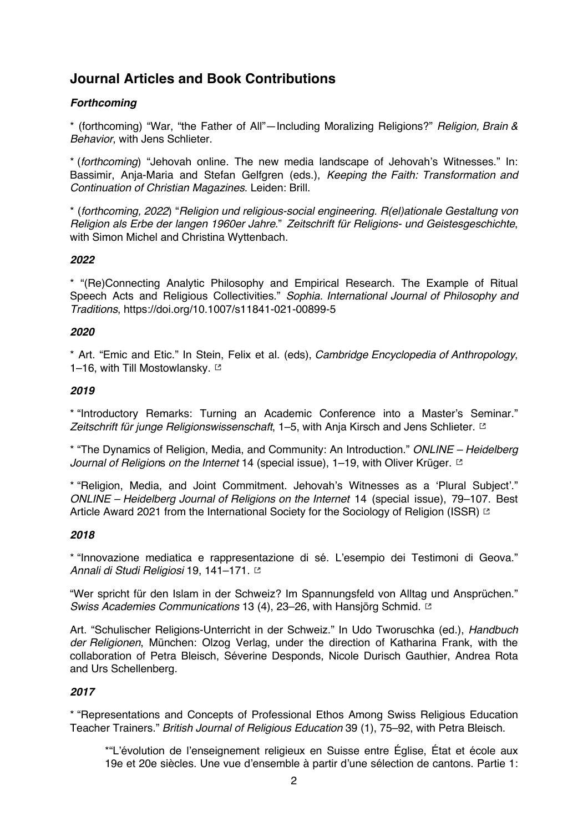## **Journal Articles and Book Contributions**

#### *Forthcoming*

\* (forthcoming) "War, "the Father of All"—Including Moralizing Religions?" *Religion, Brain & Behavior*, with Jens Schlieter.

\* (*forthcoming*) "Jehovah online. The new media landscape of Jehovah's Witnesses." In: Bassimir, Anja-Maria and Stefan Gelfgren (eds.), *Keeping the Faith: Transformation and Continuation of Christian Magazines*. Leiden: Brill.

\* (*forthcoming, 2022*) "*Religion und religious-social engineering. R(el)ationale Gestaltung von Religion als Erbe der langen 1960er Jahre.*" *Zeitschrift für Religions- und Geistesgeschichte*, with Simon Michel and Christina Wyttenbach.

#### *2022*

\* "(Re)Connecting Analytic Philosophy and Empirical Research. The Example of Ritual Speech Acts and Religious Collectivities." *Sophia. International Journal of Philosophy and Traditions*, https://doi.org/10.1007/s11841-021-00899-5

#### *2020*

\* Art. "Emic and Etic." In Stein, Felix et al. (eds), *Cambridge Encyclopedia of Anthropology*, 1–16, with Till Mostowlansky.  $\Xi$ 

#### *2019*

\* "Introductory Remarks: Turning an Academic Conference into a Master's Seminar." *Zeitschrift für junge Religionswissenschaft*, 1–5, with Anja Kirsch and Jens Schlieter.

\* "The Dynamics of Religion, Media, and Community: An Introduction." *ONLINE – Heidelberg Journal of Religion*s *on the Internet* 14 (special issue), 1–19, with Oliver Krüger.

\* "Religion, Media, and Joint Commitment. Jehovah's Witnesses as a 'Plural Subject'." *ONLINE – Heidelberg Journal of Religions on the Internet* 14 (special issue), 79–107. Best Article Award 2021 from the International Society for the Sociology of Religion (ISSR) E

#### *2018*

\* "Innovazione mediatica e rappresentazione di sé. L'esempio dei Testimoni di Geova." *Annali di Studi Religiosi* 19, 141–171.

"Wer spricht für den Islam in der Schweiz? Im Spannungsfeld von Alltag und Ansprüchen." *Swiss Academies Communications* 13 (4), 23–26, with Hansjörg Schmid.

Art. "Schulischer Religions-Unterricht in der Schweiz." In Udo Tworuschka (ed.), *Handbuch der Religionen*, München: Olzog Verlag, under the direction of Katharina Frank, with the collaboration of Petra Bleisch, Séverine Desponds, Nicole Durisch Gauthier, Andrea Rota and Urs Schellenberg.

#### *2017*

\* "Representations and Concepts of Professional Ethos Among Swiss Religious Education Teacher Trainers." *British Journal of Religious Education* 39 (1), 75–92, with Petra Bleisch.

\*"L'évolution de l'enseignement religieux en Suisse entre Église, État et école aux 19e et 20e siècles. Une vue d'ensemble à partir d'une sélection de cantons. Partie 1: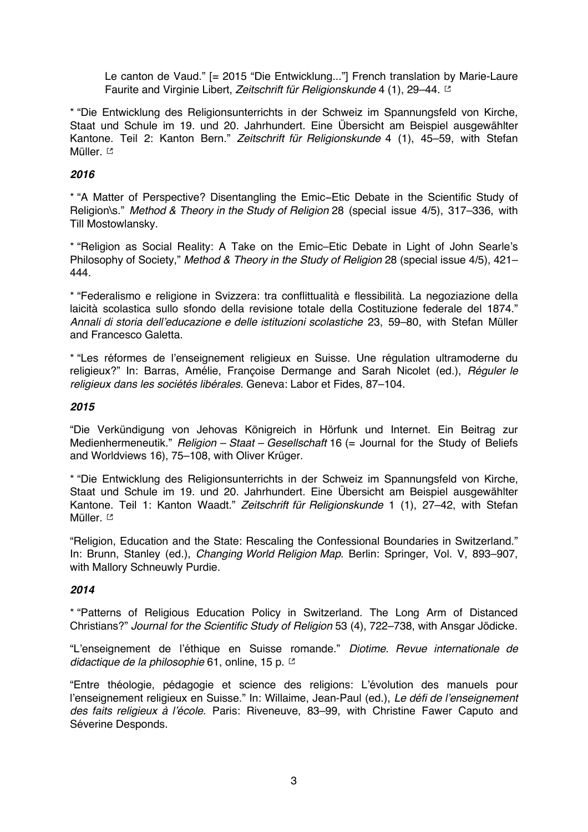Le canton de Vaud." [= 2015 "Die Entwicklung..."] French translation by Marie-Laure Faurite and Virginie Libert, *Zeitschrift für Religionskunde* 4 (1), 29–44.

\* "Die Entwicklung des Religionsunterrichts in der Schweiz im Spannungsfeld von Kirche, Staat und Schule im 19. und 20. Jahrhundert. Eine Übersicht am Beispiel ausgewählter Kantone. Teil 2: Kanton Bern." *Zeitschrift für Religionskunde* 4 (1), 45–59, with Stefan Müller. **⊠** 

#### *2016*

\* "A Matter of Perspective? Disentangling the Emic−Etic Debate in the Scientific Study of Religion\s." *Method & Theory in the Study of Religion* 28 (special issue 4/5), 317–336, with Till Mostowlansky.

\* "Religion as Social Reality: A Take on the Emic–Etic Debate in Light of John Searle's Philosophy of Society," *Method & Theory in the Study of Religion* 28 (special issue 4/5), 421– 444.

\* "Federalismo e religione in Svizzera: tra conflittualità e flessibilità. La negoziazione della laicità scolastica sullo sfondo della revisione totale della Costituzione federale del 1874." *Annali di storia dell'educazione e delle istituzioni scolastiche* 23, 59–80, with Stefan Müller and Francesco Galetta.

\* "Les réformes de l'enseignement religieux en Suisse. Une régulation ultramoderne du religieux?" In: Barras, Amélie, Françoise Dermange and Sarah Nicolet (ed.), *Réguler le religieux dans les sociétés libérales*. Geneva: Labor et Fides, 87–104.

#### *2015*

"Die Verkündigung von Jehovas Königreich in Hörfunk und Internet. Ein Beitrag zur Medienhermeneutik." *Religion – Staat – Gesellschaft* 16 (= Journal for the Study of Beliefs and Worldviews 16), 75–108, with Oliver Krüger.

\* "Die Entwicklung des Religionsunterrichts in der Schweiz im Spannungsfeld von Kirche, Staat und Schule im 19. und 20. Jahrhundert. Eine Übersicht am Beispiel ausgewählter Kantone. Teil 1: Kanton Waadt." *Zeitschrift für Religionskunde* 1 (1), 27–42, with Stefan Müller.<sup>[2]</sup>

"Religion, Education and the State: Rescaling the Confessional Boundaries in Switzerland." In: Brunn, Stanley (ed.), *Changing World Religion Map*. Berlin: Springer, Vol. V, 893–907, with Mallory Schneuwly Purdie.

#### *2014*

\* "Patterns of Religious Education Policy in Switzerland. The Long Arm of Distanced Christians?" *Journal for the Scientific Study of Religion* 53 (4), 722–738, with Ansgar Jödicke.

"L'enseignement de l'éthique en Suisse romande." *Diotime. Revue internationale de didactique de la philosophie* 61, online, 15 p.

"Entre théologie, pédagogie et science des religions: L'évolution des manuels pour l'enseignement religieux en Suisse." In: Willaime, Jean-Paul (ed.), *Le défi de l'enseignement des faits religieux à l'école*. Paris: Riveneuve, 83–99, with Christine Fawer Caputo and Séverine Desponds.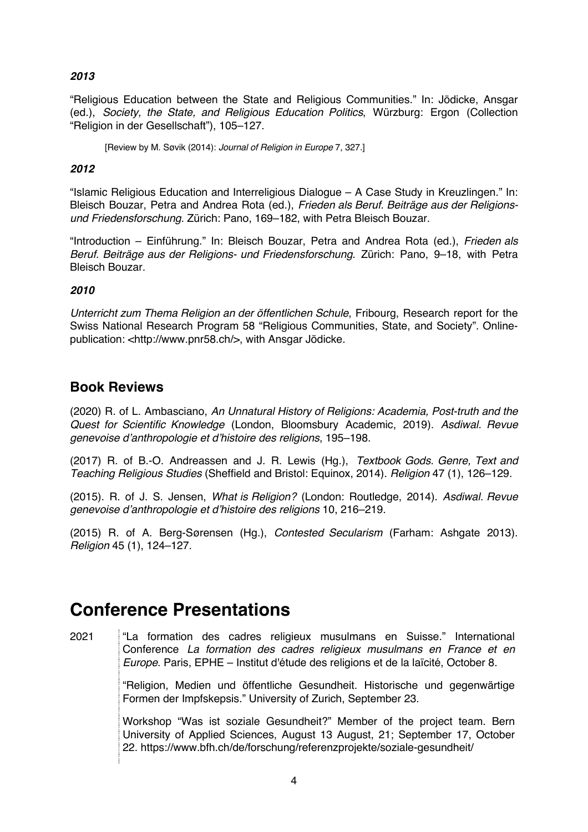#### *2013*

"Religious Education between the State and Religious Communities." In: Jödicke, Ansgar (ed.), *Society, the State, and Religious Education Politics*, Würzburg: Ergon (Collection "Religion in der Gesellschaft"), 105–127.

[Review by M. Søvik (2014): *Journal of Religion in Europe* 7, 327.]

#### *2012*

"Islamic Religious Education and Interreligious Dialogue – A Case Study in Kreuzlingen." In: Bleisch Bouzar, Petra and Andrea Rota (ed.), *Frieden als Beruf. Beiträge aus der Religionsund Friedensforschung*. Zürich: Pano, 169–182, with Petra Bleisch Bouzar.

"Introduction – Einführung." In: Bleisch Bouzar, Petra and Andrea Rota (ed.), *Frieden als Beruf. Beiträge aus der Religions- und Friedensforschung*. Zürich: Pano, 9–18, with Petra Bleisch Bouzar.

#### *2010*

*Unterricht zum Thema Religion an der öffentlichen Schule*, Fribourg, Research report for the Swiss National Research Program 58 "Religious Communities, State, and Society". Onlinepublication: <http://www.pnr58.ch/>, with Ansgar Jödicke.

### **Book Reviews**

(2020) R. of L. Ambasciano, *An Unnatural History of Religions: Academia, Post-truth and the Quest for Scientific Knowledge* (London, Bloomsbury Academic, 2019). *Asdiwal. Revue genevoise d'anthropologie et d'histoire des religions*, 195–198.

(2017) R. of B.-O. Andreassen and J. R. Lewis (Hg.), *Textbook Gods. Genre, Text and Teaching Religious Studies* (Sheffield and Bristol: Equinox, 2014). *Religion* 47 (1), 126–129.

(2015). R. of J. S. Jensen, *What is Religion?* (London: Routledge, 2014). *Asdiwal. Revue genevoise d'anthropologie et d'histoire des religions* 10, 216–219.

(2015) R. of A. Berg-Sørensen (Hg.), *Contested Secularism* (Farham: Ashgate 2013). *Religion* 45 (1), 124–127.

# **Conference Presentations**

2021 "La formation des cadres religieux musulmans en Suisse." International Conference *La formation des cadres religieux musulmans en France et en Europe*. Paris, EPHE – Institut d'étude des religions et de la laïcité, October 8.

> "Religion, Medien und öffentliche Gesundheit. Historische und gegenwärtige Formen der Impfskepsis." University of Zurich, September 23.

> Workshop "Was ist soziale Gesundheit?" Member of the project team. Bern University of Applied Sciences, August 13 August, 21; September 17, October 22. https://www.bfh.ch/de/forschung/referenzprojekte/soziale-gesundheit/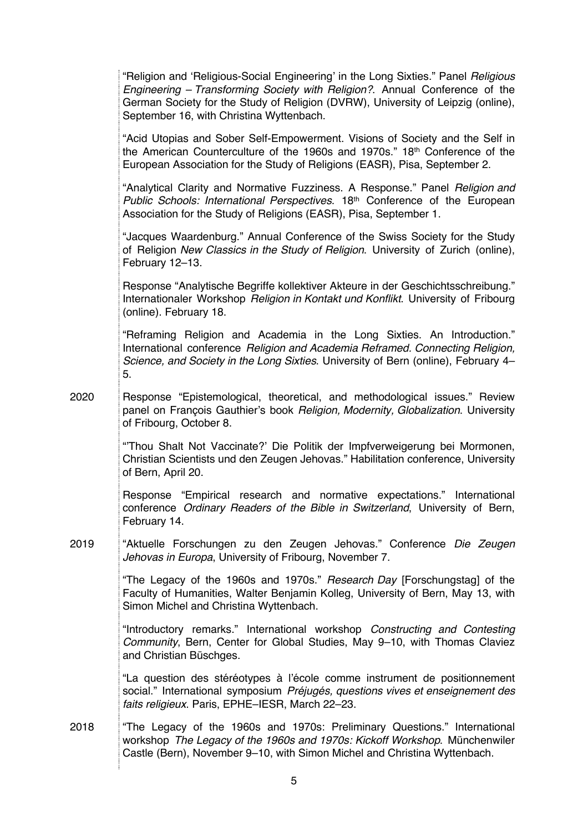|      | "Religion and 'Religious-Social Engineering' in the Long Sixties." Panel Religious<br>Engineering - Transforming Society with Religion?. Annual Conference of the<br>German Society for the Study of Religion (DVRW), University of Leipzig (online),<br>September 16, with Christina Wyttenbach. |
|------|---------------------------------------------------------------------------------------------------------------------------------------------------------------------------------------------------------------------------------------------------------------------------------------------------|
|      | "Acid Utopias and Sober Self-Empowerment. Visions of Society and the Self in<br>the American Counterculture of the 1960s and 1970s." 18th Conference of the<br>European Association for the Study of Religions (EASR), Pisa, September 2.                                                         |
|      | "Analytical Clarity and Normative Fuzziness. A Response." Panel Religion and<br>Public Schools: International Perspectives. 18th Conference of the European<br>Association for the Study of Religions (EASR), Pisa, September 1.                                                                  |
|      | "Jacques Waardenburg." Annual Conference of the Swiss Society for the Study<br>of Religion New Classics in the Study of Religion. University of Zurich (online),<br>February 12-13.                                                                                                               |
|      | Response "Analytische Begriffe kollektiver Akteure in der Geschichtsschreibung."<br>Internationaler Workshop Religion in Kontakt und Konflikt. University of Fribourg<br>(online). February 18.                                                                                                   |
|      | "Reframing Religion and Academia in the Long Sixties. An Introduction."<br>International conference Religion and Academia Reframed. Connecting Religion,<br>Science, and Society in the Long Sixties. University of Bern (online), February 4-<br>5.                                              |
| 2020 | Response "Epistemological, theoretical, and methodological issues." Review<br>panel on François Gauthier's book Religion, Modernity, Globalization. University<br>of Fribourg, October 8.                                                                                                         |
|      | "Thou Shalt Not Vaccinate?' Die Politik der Impfverweigerung bei Mormonen,<br>Christian Scientists und den Zeugen Jehovas." Habilitation conference, University<br>of Bern, April 20.                                                                                                             |
|      | Response "Empirical research and normative expectations." International<br>conference Ordinary Readers of the Bible in Switzerland, University of Bern,<br>February 14.                                                                                                                           |
| 2019 | "Aktuelle Forschungen zu den Zeugen Jehovas." Conference Die Zeugen<br>Jehovas in Europa, University of Fribourg, November 7.                                                                                                                                                                     |
|      | "The Legacy of the 1960s and 1970s." Research Day [Forschungstag] of the<br>Faculty of Humanities, Walter Benjamin Kolleg, University of Bern, May 13, with<br>Simon Michel and Christina Wyttenbach.                                                                                             |
|      | "Introductory remarks." International workshop Constructing and Contesting<br>Community, Bern, Center for Global Studies, May 9-10, with Thomas Claviez<br>and Christian Büschges.                                                                                                                |
|      | "La question des stéréotypes à l'école comme instrument de positionnement<br>social." International symposium Préjugés, questions vives et enseignement des<br>faits religieux. Paris, EPHE-IESR, March 22-23.                                                                                    |
| 2018 | "The Legacy of the 1960s and 1970s: Preliminary Questions." International<br>workshop The Legacy of the 1960s and 1970s: Kickoff Workshop. Münchenwiler<br>Castle (Bern), November 9-10, with Simon Michel and Christina Wyttenbach.                                                              |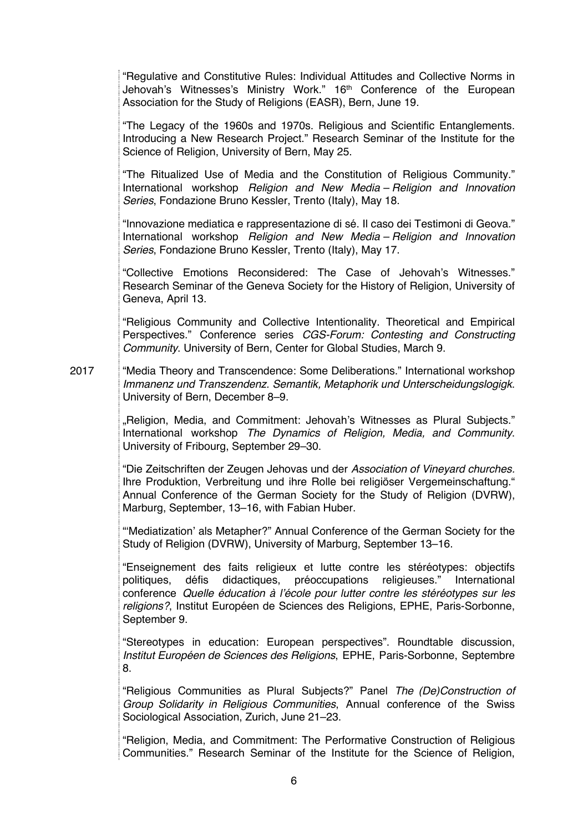|      | "Regulative and Constitutive Rules: Individual Attitudes and Collective Norms in<br>Jehovah's Witnesses's Ministry Work." 16 <sup>th</sup> Conference of the European<br>Association for the Study of Religions (EASR), Bern, June 19.                                                                                                          |
|------|-------------------------------------------------------------------------------------------------------------------------------------------------------------------------------------------------------------------------------------------------------------------------------------------------------------------------------------------------|
|      | "The Legacy of the 1960s and 1970s. Religious and Scientific Entanglements.<br>Introducing a New Research Project." Research Seminar of the Institute for the<br>Science of Religion, University of Bern, May 25.                                                                                                                               |
|      | "The Ritualized Use of Media and the Constitution of Religious Community."<br>International workshop Religion and New Media - Religion and Innovation<br>Series, Fondazione Bruno Kessler, Trento (Italy), May 18.                                                                                                                              |
|      | "Innovazione mediatica e rappresentazione di sé. Il caso dei Testimoni di Geova."<br>International workshop Religion and New Media - Religion and Innovation<br>Series, Fondazione Bruno Kessler, Trento (Italy), May 17.                                                                                                                       |
|      | "Collective Emotions Reconsidered: The Case of Jehovah's Witnesses."<br>Research Seminar of the Geneva Society for the History of Religion, University of<br>Geneva, April 13.                                                                                                                                                                  |
|      | "Religious Community and Collective Intentionality. Theoretical and Empirical<br>Perspectives." Conference series CGS-Forum: Contesting and Constructing<br>Community. University of Bern, Center for Global Studies, March 9.                                                                                                                  |
| 2017 | "Media Theory and Transcendence: Some Deliberations." International workshop<br>Immanenz und Transzendenz. Semantik, Metaphorik und Unterscheidungslogigk.<br>University of Bern, December 8-9.                                                                                                                                                 |
|      | "Religion, Media, and Commitment: Jehovah's Witnesses as Plural Subjects."<br>International workshop The Dynamics of Religion, Media, and Community.<br>University of Fribourg, September 29-30.                                                                                                                                                |
|      | "Die Zeitschriften der Zeugen Jehovas und der Association of Vineyard churches.<br>Ihre Produktion, Verbreitung und ihre Rolle bei religiöser Vergemeinschaftung."<br>Annual Conference of the German Society for the Study of Religion (DVRW),<br>Marburg, September, 13-16, with Fabian Huber.                                                |
|      | "Mediatization' als Metapher?" Annual Conference of the German Society for the<br>Study of Religion (DVRW), University of Marburg, September 13-16.                                                                                                                                                                                             |
|      | "Enseignement des faits religieux et lutte contre les stéréotypes: objectifs<br>politiques, défis didactiques, préoccupations religieuses." International<br>conference Quelle éducation à l'école pour lutter contre les stéréotypes sur les<br>religions?, Institut Européen de Sciences des Religions, EPHE, Paris-Sorbonne,<br>September 9. |
|      | "Stereotypes in education: European perspectives". Roundtable discussion,<br>Institut Européen de Sciences des Religions, EPHE, Paris-Sorbonne, Septembre<br>8.                                                                                                                                                                                 |
|      | "Religious Communities as Plural Subjects?" Panel The (De)Construction of<br>Group Solidarity in Religious Communities, Annual conference of the Swiss<br>Sociological Association, Zurich, June 21-23.                                                                                                                                         |
|      | "Religion, Media, and Commitment: The Performative Construction of Religious<br>Communities." Research Seminar of the Institute for the Science of Religion,                                                                                                                                                                                    |
|      |                                                                                                                                                                                                                                                                                                                                                 |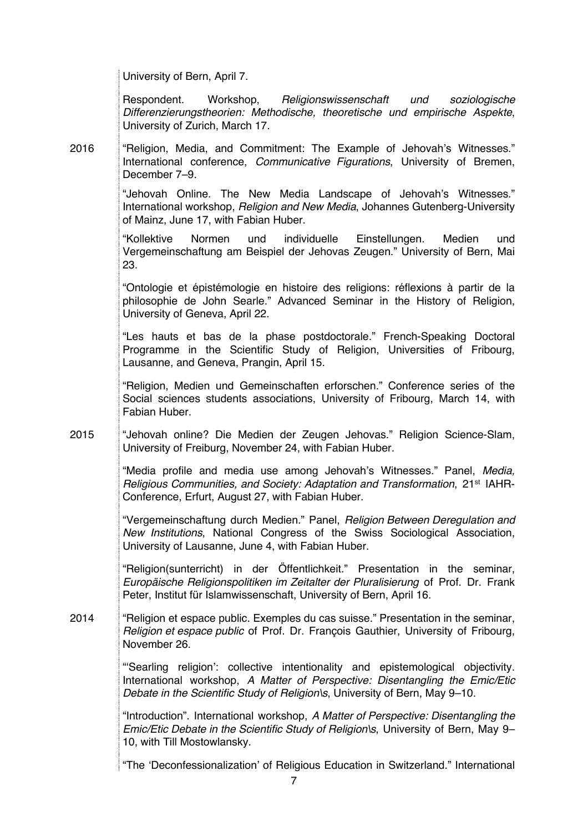University of Bern, April 7.

Respondent. Workshop, *Religionswissenschaft und soziologische Differenzierungstheorien: Methodische, theoretische und empirische Aspekte*, University of Zurich, March 17.

2016 "Religion, Media, and Commitment: The Example of Jehovah's Witnesses." International conference, *Communicative Figurations*, University of Bremen, December 7–9.

> "Jehovah Online. The New Media Landscape of Jehovah's Witnesses." International workshop, *Religion and New Media*, Johannes Gutenberg-University of Mainz, June 17, with Fabian Huber.

> "Kollektive Normen und individuelle Einstellungen. Medien und Vergemeinschaftung am Beispiel der Jehovas Zeugen." University of Bern, Mai 23.

> "Ontologie et épistémologie en histoire des religions: réflexions à partir de la philosophie de John Searle." Advanced Seminar in the History of Religion, University of Geneva, April 22.

> "Les hauts et bas de la phase postdoctorale." French-Speaking Doctoral Programme in the Scientific Study of Religion, Universities of Fribourg, Lausanne, and Geneva, Prangin, April 15.

> "Religion, Medien und Gemeinschaften erforschen." Conference series of the Social sciences students associations, University of Fribourg, March 14, with Fabian Huber.

2015 "Jehovah online? Die Medien der Zeugen Jehovas." Religion Science-Slam, University of Freiburg, November 24, with Fabian Huber.

> "Media profile and media use among Jehovah's Witnesses." Panel, *Media, Religious Communities, and Society: Adaptation and Transformation*, 21st IAHR-Conference, Erfurt, August 27, with Fabian Huber.

> "Vergemeinschaftung durch Medien." Panel, *Religion Between Deregulation and New Institutions*, National Congress of the Swiss Sociological Association, University of Lausanne, June 4, with Fabian Huber.

> "Religion(sunterricht) in der Öffentlichkeit*.*" Presentation in the seminar, *Europäische Religionspolitiken im Zeitalter der Pluralisierung* of Prof. Dr. Frank Peter, Institut für Islamwissenschaft, University of Bern, April 16.

2014 "Religion et espace public. Exemples du cas suisse*.*" Presentation in the seminar, *Religion et espace public* of Prof. Dr. François Gauthier, University of Fribourg, November 26.

> "'Searling religion': collective intentionality and epistemological objectivity. International workshop, *A Matter of Perspective: Disentangling the Emic/Etic Debate in the Scientific Study of Religion\s*, University of Bern, May 9–10.

> "Introduction". International workshop, *A Matter of Perspective: Disentangling the Emic/Etic Debate in the Scientific Study of Religion\s*, University of Bern, May 9– 10, with Till Mostowlansky.

> "The 'Deconfessionalization' of Religious Education in Switzerland." International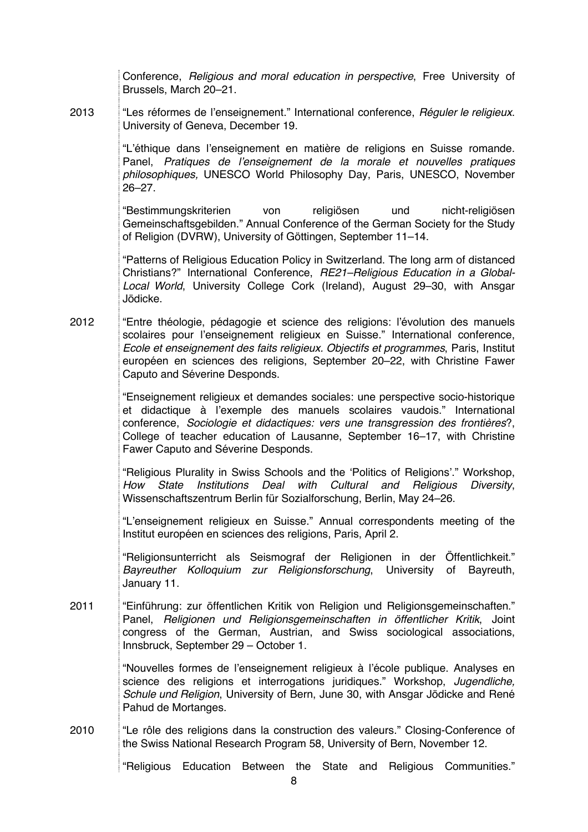|      | Conference, <i>Religious and moral education in perspective</i> , Free University of<br>Brussels, March 20-21.                                                                                                                                                                                                                                                      |
|------|---------------------------------------------------------------------------------------------------------------------------------------------------------------------------------------------------------------------------------------------------------------------------------------------------------------------------------------------------------------------|
| 2013 | "Les réformes de l'enseignement." International conference, Réguler le religieux.<br>University of Geneva, December 19.                                                                                                                                                                                                                                             |
|      | "L'éthique dans l'enseignement en matière de religions en Suisse romande.<br>Panel, Pratiques de l'enseignement de la morale et nouvelles pratiques<br>philosophiques, UNESCO World Philosophy Day, Paris, UNESCO, November<br>$26 - 27$ .                                                                                                                          |
|      | religiösen<br>nicht-religiösen<br>"Bestimmungskriterien<br>und<br>von<br>Gemeinschaftsgebilden." Annual Conference of the German Society for the Study<br>of Religion (DVRW), University of Göttingen, September 11-14.                                                                                                                                             |
|      | "Patterns of Religious Education Policy in Switzerland. The long arm of distanced<br>Christians?" International Conference, RE21-Religious Education in a Global-<br>Local World, University College Cork (Ireland), August 29-30, with Ansgar<br>Jödicke.                                                                                                          |
| 2012 | "Entre théologie, pédagogie et science des religions: l'évolution des manuels<br>scolaires pour l'enseignement religieux en Suisse." International conference,<br>Ecole et enseignement des faits religieux. Objectifs et programmes, Paris, Institut<br>européen en sciences des religions, September 20-22, with Christine Fawer<br>Caputo and Séverine Desponds. |
|      | "Enseignement religieux et demandes sociales: une perspective socio-historique<br>et didactique à l'exemple des manuels scolaires vaudois." International<br>conference, Sociologie et didactiques: vers une transgression des frontières?,<br>College of teacher education of Lausanne, September 16-17, with Christine<br>Fawer Caputo and Séverine Desponds.     |
|      | "Religious Plurality in Swiss Schools and the 'Politics of Religions'." Workshop,<br>Institutions<br>Deal<br>with<br>Cultural<br>Religious<br>Diversity,<br>How<br>State<br>and<br>Wissenschaftszentrum Berlin für Sozialforschung, Berlin, May 24-26.                                                                                                              |
|      | "L'enseignement religieux en Suisse." Annual correspondents meeting of the<br>Institut européen en sciences des religions, Paris, April 2.                                                                                                                                                                                                                          |
|      | "Religionsunterricht als Seismograf der Religionen in der Öffentlichkeit."<br>Bayreuther Kolloquium zur Religionsforschung, University<br>of<br>Bayreuth,<br>January 11.                                                                                                                                                                                            |
| 2011 | "Einführung: zur öffentlichen Kritik von Religion und Religionsgemeinschaften."<br>Panel, Religionen und Religionsgemeinschaften in öffentlicher Kritik, Joint<br>congress of the German, Austrian, and Swiss sociological associations,<br>Innsbruck, September 29 - October 1.                                                                                    |
|      | "Nouvelles formes de l'enseignement religieux à l'école publique. Analyses en<br>science des religions et interrogations juridiques." Workshop, Jugendliche,<br>Schule und Religion, University of Bern, June 30, with Ansgar Jödicke and René<br>Pahud de Mortanges.                                                                                               |
| 2010 | "Le rôle des religions dans la construction des valeurs." Closing-Conference of<br>the Swiss National Research Program 58, University of Bern, November 12.                                                                                                                                                                                                         |
|      | "Religious Education Between the<br>Religious Communities."<br>State<br>and                                                                                                                                                                                                                                                                                         |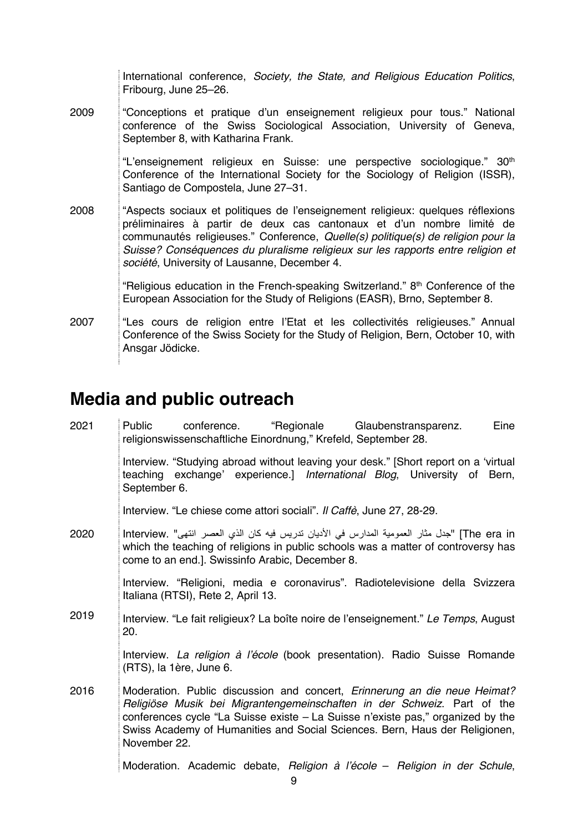|      | International conference, Society, the State, and Religious Education Politics,<br>Fribourg, June 25-26.                                                                                                                                                                                                                                                                        |
|------|---------------------------------------------------------------------------------------------------------------------------------------------------------------------------------------------------------------------------------------------------------------------------------------------------------------------------------------------------------------------------------|
| 2009 | "Conceptions et pratique d'un enseignement religieux pour tous." National<br>conference of the Swiss Sociological Association, University of Geneva,<br>September 8, with Katharina Frank.                                                                                                                                                                                      |
| 2008 | "L'enseignement religieux en Suisse: une perspective sociologique." 30 <sup>th</sup><br>Conference of the International Society for the Sociology of Religion (ISSR),<br>Santiago de Compostela, June 27-31.                                                                                                                                                                    |
|      | "Aspects sociaux et politiques de l'enseignement religieux: quelques réflexions<br>préliminaires à partir de deux cas cantonaux et d'un nombre limité de<br>communautés religieuses." Conference, Quelle(s) politique(s) de religion pour la<br>Suisse? Conséquences du pluralisme religieux sur les rapports entre religion et<br>société, University of Lausanne, December 4. |
|      | "Religious education in the French-speaking Switzerland." 8th Conference of the<br>European Association for the Study of Religions (EASR), Brno, September 8.                                                                                                                                                                                                                   |
| 2007 | "Les cours de religion entre l'Etat et les collectivités religieuses." Annual<br>Conference of the Swiss Society for the Study of Religion, Bern, October 10, with<br>Ansgar Jödicke.                                                                                                                                                                                           |

# **Media and public outreach**

| 2021 | "Regionale Glaubenstransparenz.<br>conference.<br>Eine<br>Public<br>religionswissenschaftliche Einordnung," Krefeld, September 28.                                                                                                                                                                                                     |
|------|----------------------------------------------------------------------------------------------------------------------------------------------------------------------------------------------------------------------------------------------------------------------------------------------------------------------------------------|
|      | Interview. "Studying abroad without leaving your desk." [Short report on a 'virtual<br>teaching exchange' experience.] International Blog, University of Bern,<br>September 6.                                                                                                                                                         |
|      | Interview. "Le chiese come attori sociali". Il Caffè, June 27, 28-29.                                                                                                                                                                                                                                                                  |
| 2020 | The era in] "جدل مثار العمومية المدارس في الأديان تدريس فيه كان الذي العصر انتهي" .Interview الجدل مثار العمومية المدارس في<br>which the teaching of religions in public schools was a matter of controversy has<br>come to an end.]. Swissinfo Arabic, December 8.                                                                    |
|      | Interview. "Religioni, media e coronavirus". Radiotelevisione della Svizzera<br>Italiana (RTSI), Rete 2, April 13.                                                                                                                                                                                                                     |
| 2019 | Interview. "Le fait religieux? La boîte noire de l'enseignement." Le Temps, August<br>20.                                                                                                                                                                                                                                              |
|      | Interview. La religion à l'école (book presentation). Radio Suisse Romande<br>(RTS), la 1ère, June 6.                                                                                                                                                                                                                                  |
| 2016 | Moderation. Public discussion and concert, Erinnerung an die neue Heimat?<br>Religiöse Musik bei Migrantengemeinschaften in der Schweiz. Part of the<br>conferences cycle "La Suisse existe – La Suisse n'existe pas," organized by the<br>Swiss Academy of Humanities and Social Sciences. Bern, Haus der Religionen,<br>November 22. |
|      | Moderation. Academic debate, Religion à l'école - Religion in der Schule,                                                                                                                                                                                                                                                              |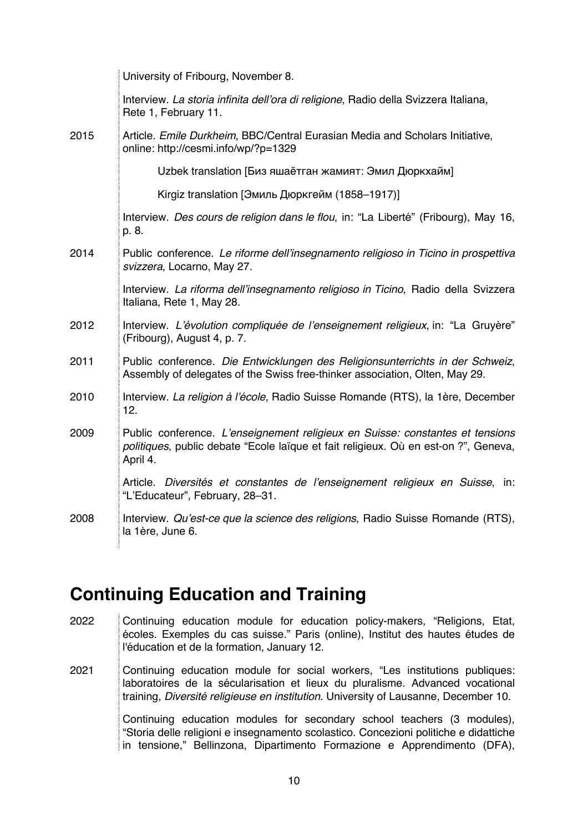|      | University of Fribourg, November 8.                                                                                                                                              |
|------|----------------------------------------------------------------------------------------------------------------------------------------------------------------------------------|
|      | Interview. La storia infinita dell'ora di religione, Radio della Svizzera Italiana,<br>Rete 1, February 11.                                                                      |
| 2015 | Article. Emile Durkheim, BBC/Central Eurasian Media and Scholars Initiative,<br>online: http://cesmi.info/wp/?p=1329                                                             |
|      | Uzbek translation [Биз яшаётган жамият: Эмил Дюркхайм]                                                                                                                           |
|      | Kirgiz translation [Эмиль Дюркгейм (1858-1917)]                                                                                                                                  |
|      | Interview. Des cours de religion dans le flou, in: "La Liberté" (Fribourg), May 16,<br>p. 8.                                                                                     |
| 2014 | Public conference. Le riforme dell'insegnamento religioso in Ticino in prospettiva<br>svizzera, Locarno, May 27.                                                                 |
|      | Interview. La riforma dell'insegnamento religioso in Ticino, Radio della Svizzera<br>Italiana, Rete 1, May 28.                                                                   |
| 2012 | Interview. L'évolution compliquée de l'enseignement religieux, in: "La Gruyère"<br>(Fribourg), August 4, p. 7.                                                                   |
| 2011 | Public conference. Die Entwicklungen des Religionsunterrichts in der Schweiz,<br>Assembly of delegates of the Swiss free-thinker association, Olten, May 29.                     |
| 2010 | Interview. La religion à l'école, Radio Suisse Romande (RTS), la 1ère, December<br>12.                                                                                           |
| 2009 | Public conference. L'enseignement religieux en Suisse: constantes et tensions<br>politiques, public debate "Ecole laïque et fait religieux. Où en est-on ?", Geneva,<br>April 4. |
|      | Article. Diversités et constantes de l'enseignement religieux en Suisse, in:<br>"L'Educateur", February, 28-31.                                                                  |
| 2008 | Interview. Qu'est-ce que la science des religions, Radio Suisse Romande (RTS),<br>la 1ère, June 6.                                                                               |

# **Continuing Education and Training**

2022 Continuing education module for education policy-makers, "Religions, Etat, écoles. Exemples du cas suisse." Paris (online), Institut des hautes études de l'éducation et de la formation, January 12.

2021 Continuing education module for social workers, "Les institutions publiques: laboratoires de la sécularisation et lieux du pluralisme. Advanced vocational training, *Diversité religieuse en institution*. University of Lausanne, December 10. Continuing education modules for secondary school teachers (3 modules), "Storia delle religioni e insegnamento scolastico. Concezioni politiche e didattiche in tensione," Bellinzona, Dipartimento Formazione e Apprendimento (DFA),